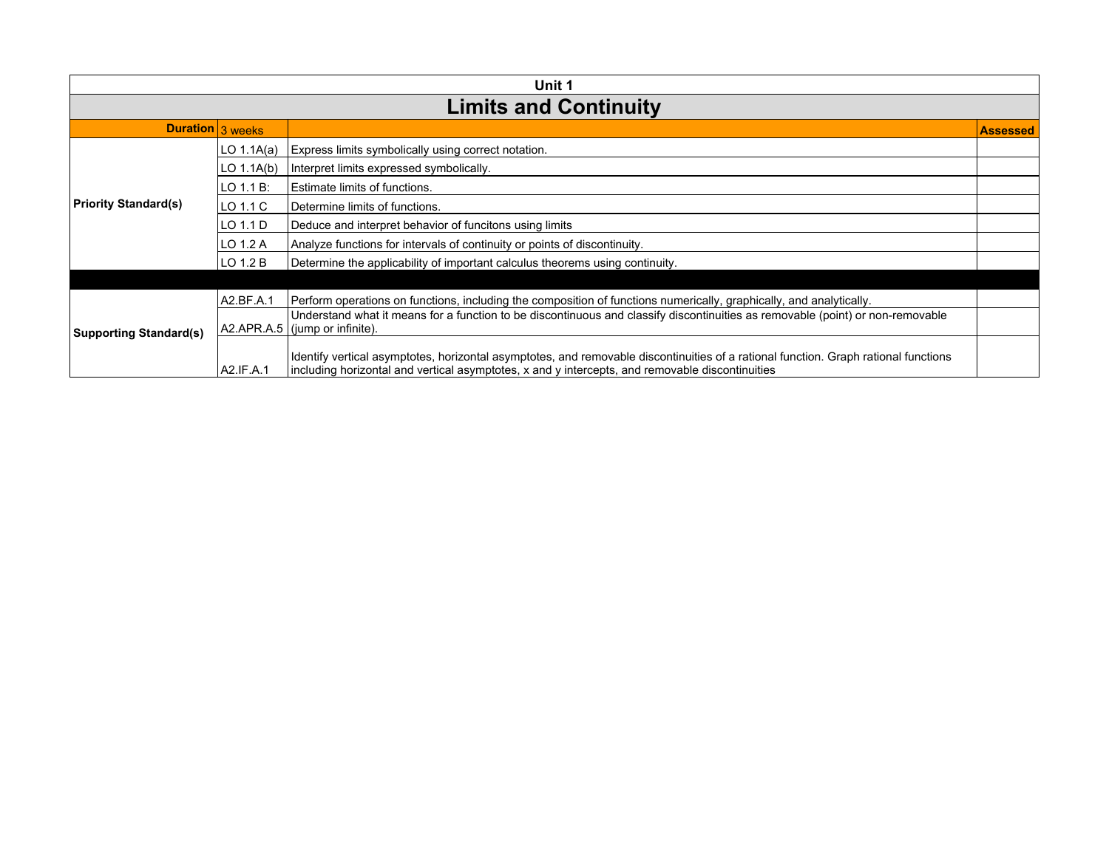| Unit 1                        |                |                                                                                                                                                                                                                                        |                 |  |
|-------------------------------|----------------|----------------------------------------------------------------------------------------------------------------------------------------------------------------------------------------------------------------------------------------|-----------------|--|
| <b>Limits and Continuity</b>  |                |                                                                                                                                                                                                                                        |                 |  |
| Duration 3 weeks              |                |                                                                                                                                                                                                                                        | <b>Assessed</b> |  |
|                               | LO $1.1A(a)$   | Express limits symbolically using correct notation.                                                                                                                                                                                    |                 |  |
|                               | LO $1.1A(b)$   | Interpret limits expressed symbolically.                                                                                                                                                                                               |                 |  |
|                               | $LO$ 1.1 $B$ : | Estimate limits of functions.                                                                                                                                                                                                          |                 |  |
| <b>Priority Standard(s)</b>   | LO 1.1 C       | Determine limits of functions.                                                                                                                                                                                                         |                 |  |
|                               | LO 1.1 D       | Deduce and interpret behavior of funcitons using limits                                                                                                                                                                                |                 |  |
|                               | LO 1.2 A       | Analyze functions for intervals of continuity or points of discontinuity.                                                                                                                                                              |                 |  |
|                               | $LO$ 1.2 $B$   | Determine the applicability of important calculus theorems using continuity.                                                                                                                                                           |                 |  |
|                               |                |                                                                                                                                                                                                                                        |                 |  |
|                               | A2.BF.A.1      | Perform operations on functions, including the composition of functions numerically, graphically, and analytically.                                                                                                                    |                 |  |
| <b>Supporting Standard(s)</b> |                | Understand what it means for a function to be discontinuous and classify discontinuities as removable (point) or non-removable<br>$AZ.APR.A.5$ (jump or infinite).                                                                     |                 |  |
|                               | A2.IF.A.1      | Identify vertical asymptotes, horizontal asymptotes, and removable discontinuities of a rational function. Graph rational functions<br>including horizontal and vertical asymptotes, x and y intercepts, and removable discontinuities |                 |  |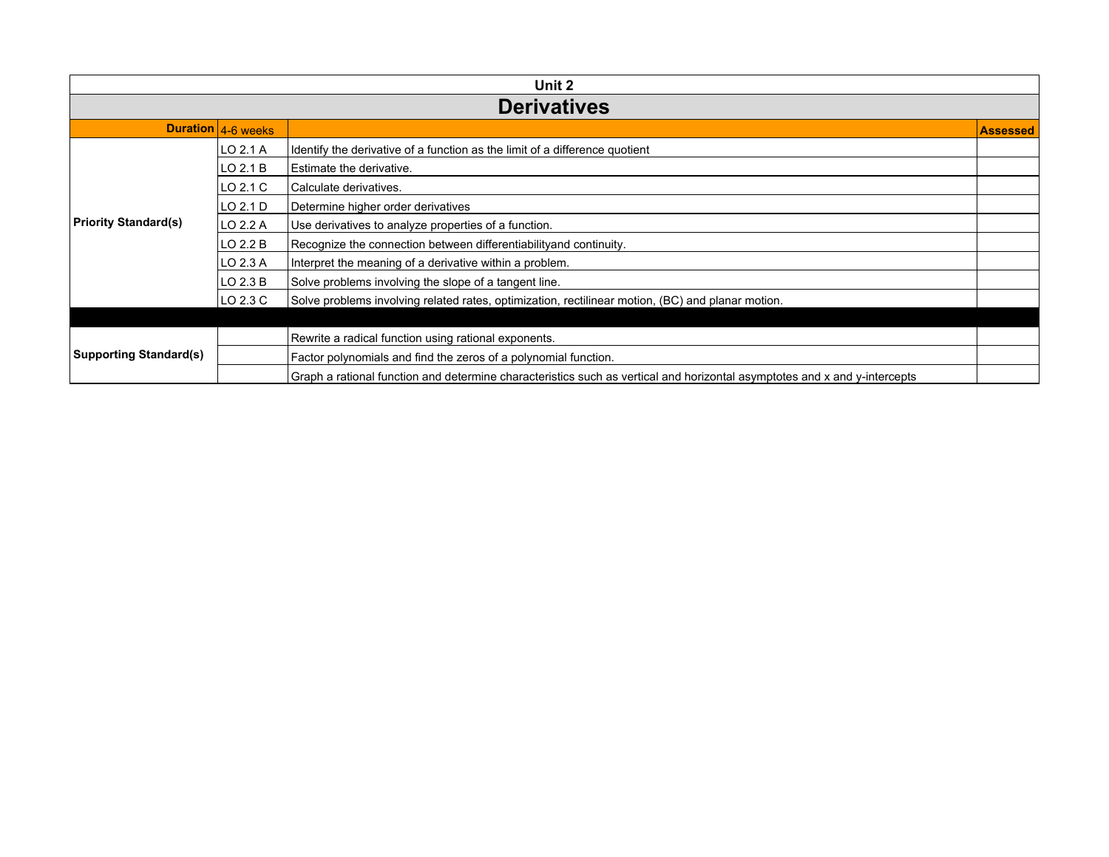| Unit 2                        |                    |                                                                                                                           |                 |  |
|-------------------------------|--------------------|---------------------------------------------------------------------------------------------------------------------------|-----------------|--|
| <b>Derivatives</b>            |                    |                                                                                                                           |                 |  |
|                               | Duration 4-6 weeks |                                                                                                                           | <b>Assessed</b> |  |
|                               | LO 2.1 A           | Identify the derivative of a function as the limit of a difference quotient                                               |                 |  |
|                               | ILO 2.1 B          | Estimate the derivative.                                                                                                  |                 |  |
|                               | LO 2.1 C           | Calculate derivatives.                                                                                                    |                 |  |
|                               | LO 2.1 D           | Determine higher order derivatives                                                                                        |                 |  |
| <b>Priority Standard(s)</b>   | LO 2.2 A           | Use derivatives to analyze properties of a function.                                                                      |                 |  |
|                               | LO 2.2 B           | Recognize the connection between differentiabilityand continuity.                                                         |                 |  |
|                               | LO 2.3 A           | Interpret the meaning of a derivative within a problem.                                                                   |                 |  |
|                               | LO 2.3 B           | Solve problems involving the slope of a tangent line.                                                                     |                 |  |
|                               | LO 2.3 C           | Solve problems involving related rates, optimization, rectilinear motion, (BC) and planar motion.                         |                 |  |
|                               |                    |                                                                                                                           |                 |  |
| <b>Supporting Standard(s)</b> |                    | Rewrite a radical function using rational exponents.                                                                      |                 |  |
|                               |                    | Factor polynomials and find the zeros of a polynomial function.                                                           |                 |  |
|                               |                    | Graph a rational function and determine characteristics such as vertical and horizontal asymptotes and x and y-intercepts |                 |  |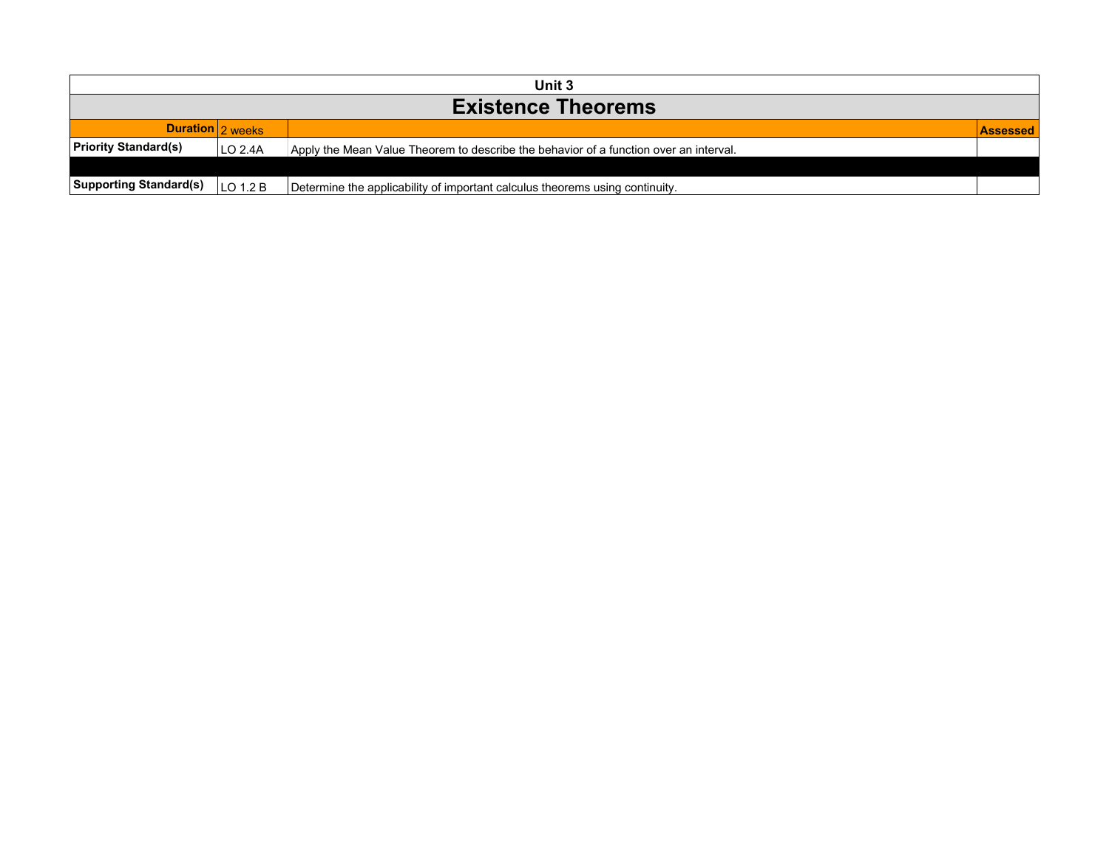| Unit 3                        |                  |                                                                                       |  |  |
|-------------------------------|------------------|---------------------------------------------------------------------------------------|--|--|
| <b>Existence Theorems</b>     |                  |                                                                                       |  |  |
|                               | Duration 2 weeks |                                                                                       |  |  |
| <b>Priority Standard(s)</b>   | LO 2.4A          | Apply the Mean Value Theorem to describe the behavior of a function over an interval. |  |  |
|                               |                  |                                                                                       |  |  |
| <b>Supporting Standard(s)</b> | LO 1.2 B         | Determine the applicability of important calculus theorems using continuity.          |  |  |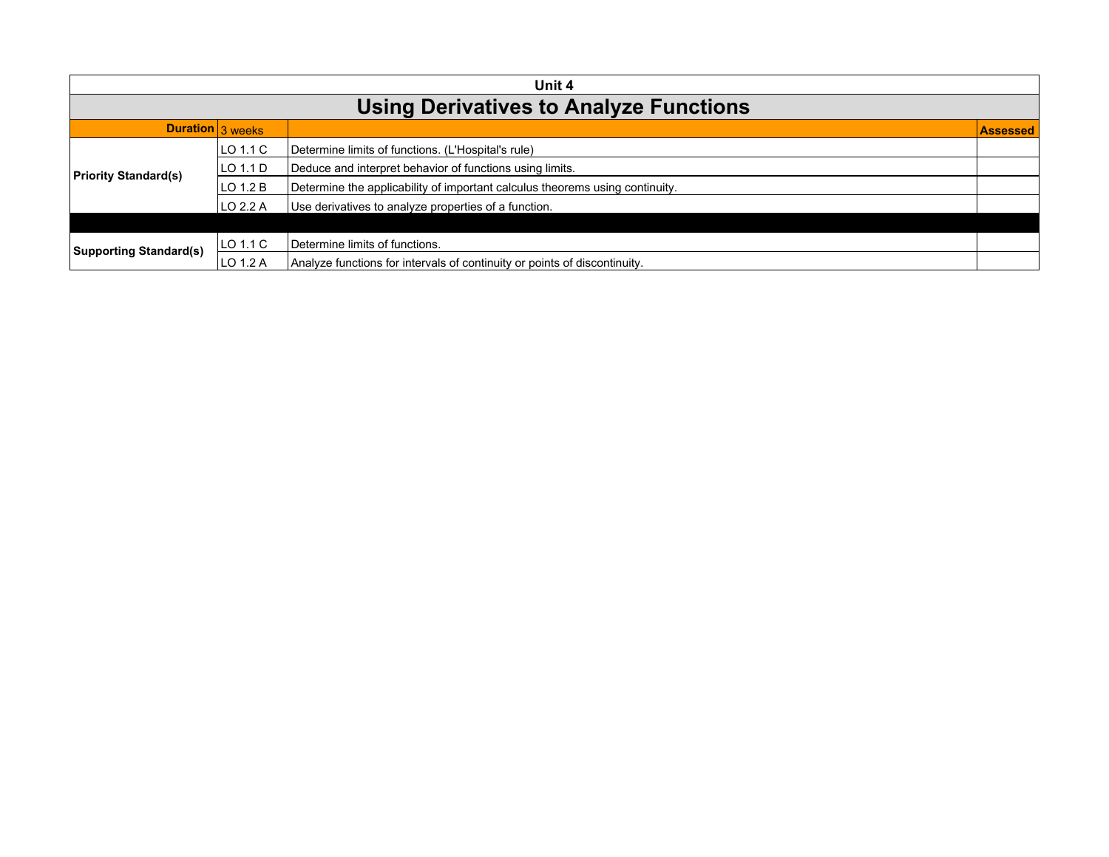| Unit 4                                        |          |                                                                              |                 |  |
|-----------------------------------------------|----------|------------------------------------------------------------------------------|-----------------|--|
| <b>Using Derivatives to Analyze Functions</b> |          |                                                                              |                 |  |
| Duration 3 weeks                              |          |                                                                              | <b>Assessed</b> |  |
| <b>Priority Standard(s)</b>                   | LO 1.1 C | Determine limits of functions. (L'Hospital's rule)                           |                 |  |
|                                               | LO 1.1 D | Deduce and interpret behavior of functions using limits.                     |                 |  |
|                                               | LO 1.2 B | Determine the applicability of important calculus theorems using continuity. |                 |  |
|                                               | LO 2.2 A | Use derivatives to analyze properties of a function.                         |                 |  |
|                                               |          |                                                                              |                 |  |
| <b>Supporting Standard(s)</b>                 | LO 1.1 C | Determine limits of functions.                                               |                 |  |
|                                               | LO 1.2 A | Analyze functions for intervals of continuity or points of discontinuity.    |                 |  |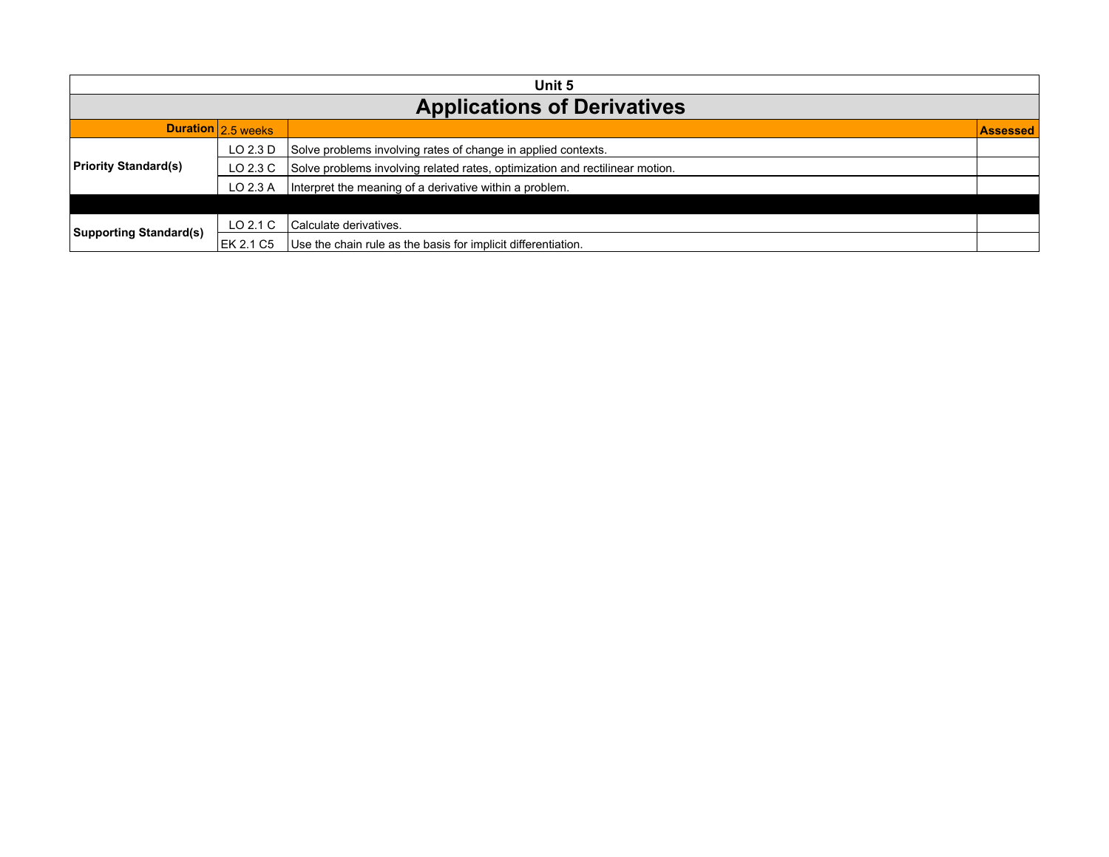| Unit 5                             |                    |                                                                              |                 |  |
|------------------------------------|--------------------|------------------------------------------------------------------------------|-----------------|--|
| <b>Applications of Derivatives</b> |                    |                                                                              |                 |  |
|                                    | Duration 2.5 weeks |                                                                              | <b>Assessed</b> |  |
| <b>Priority Standard(s)</b>        | LO 2.3 D           | Solve problems involving rates of change in applied contexts.                |                 |  |
|                                    | LO 2.3 C           | Solve problems involving related rates, optimization and rectilinear motion. |                 |  |
|                                    | LO 2.3 A           | Interpret the meaning of a derivative within a problem.                      |                 |  |
|                                    |                    |                                                                              |                 |  |
| <b>Supporting Standard(s)</b>      | LO $2.1C$          | l Calculate derivatives.                                                     |                 |  |
|                                    | EK 2.1 C5          | Use the chain rule as the basis for implicit differentiation.                |                 |  |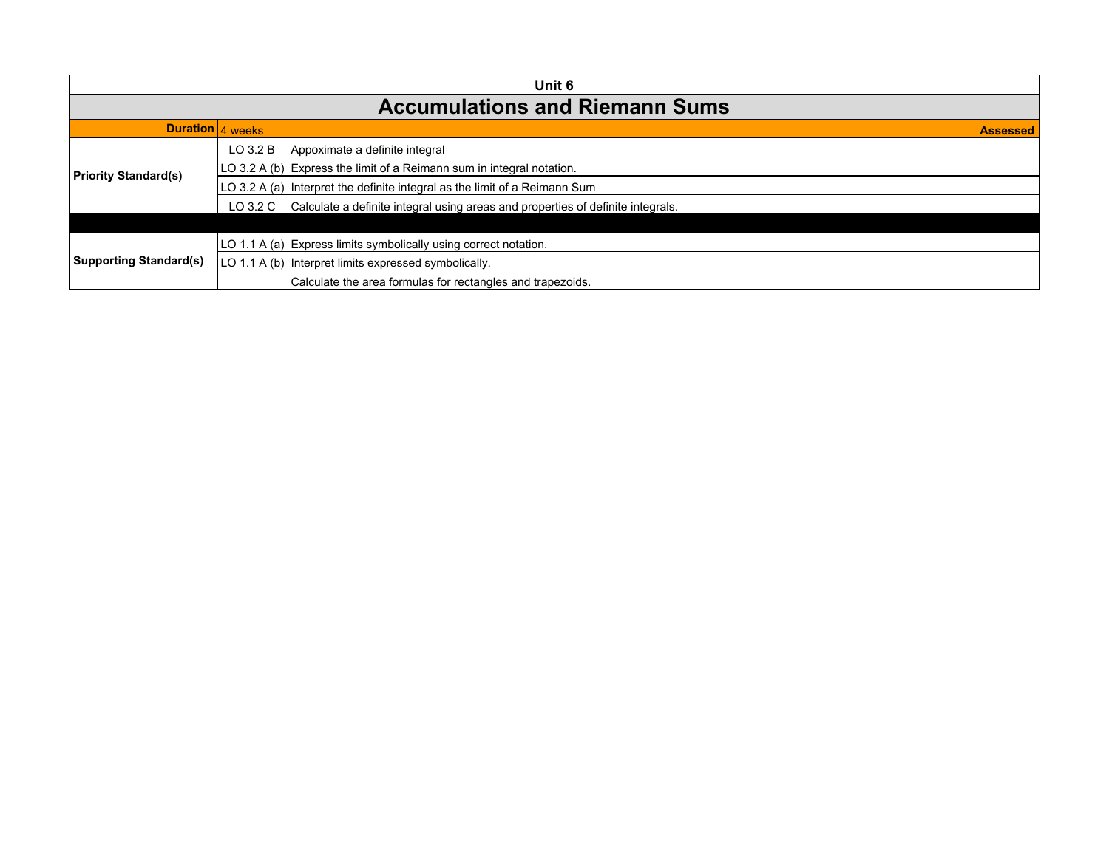| Unit 6                                |              |                                                                                          |                 |  |
|---------------------------------------|--------------|------------------------------------------------------------------------------------------|-----------------|--|
| <b>Accumulations and Riemann Sums</b> |              |                                                                                          |                 |  |
| Duration 4 weeks                      |              |                                                                                          | <b>Assessed</b> |  |
| <b>Priority Standard(s)</b>           | $LO$ 3.2 $B$ | Appoximate a definite integral                                                           |                 |  |
|                                       |              | LO 3.2 A (b) Express the limit of a Reimann sum in integral notation.                    |                 |  |
|                                       |              | LO 3.2 A (a) Interpret the definite integral as the limit of a Reimann Sum               |                 |  |
|                                       |              | LO 3.2 C Calculate a definite integral using areas and properties of definite integrals. |                 |  |
|                                       |              |                                                                                          |                 |  |
| <b>Supporting Standard(s)</b>         |              | LO 1.1 A (a) Express limits symbolically using correct notation.                         |                 |  |
|                                       |              | LO 1.1 A (b) Interpret limits expressed symbolically.                                    |                 |  |
|                                       |              | Calculate the area formulas for rectangles and trapezoids.                               |                 |  |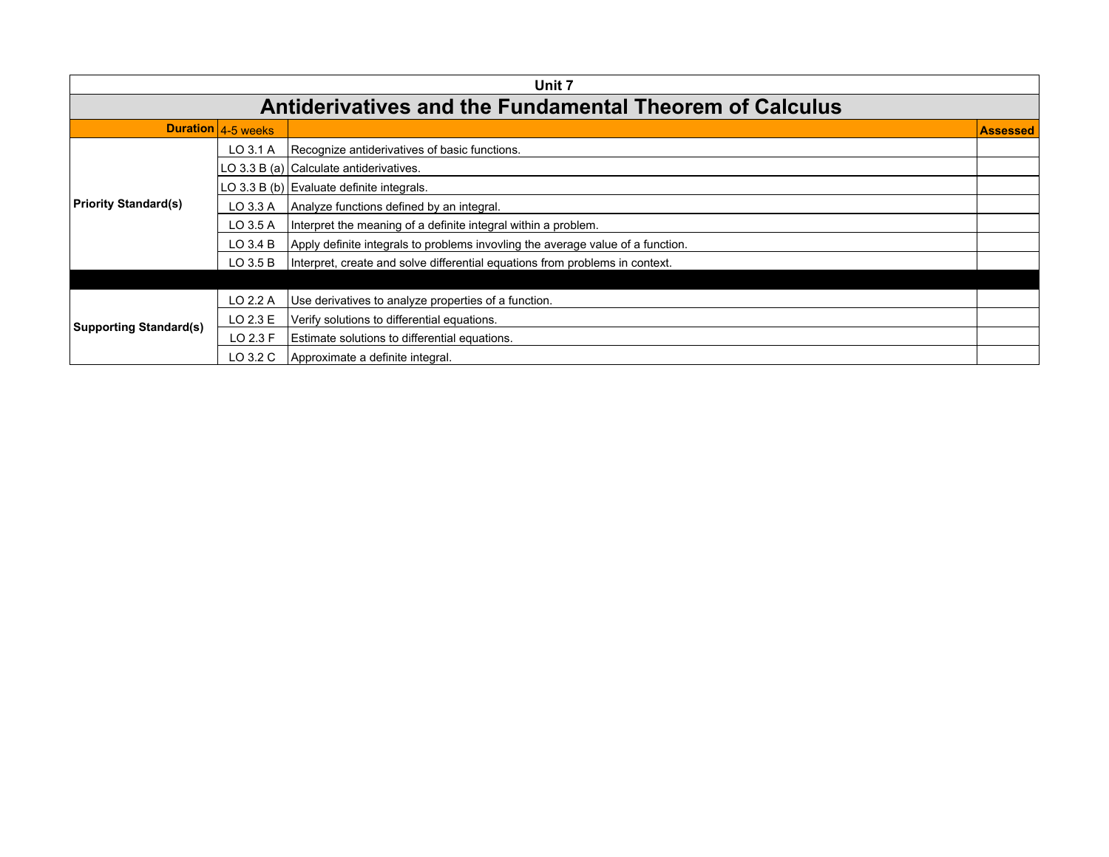| Unit 7                        |                                                                |                                                                                 |  |  |  |
|-------------------------------|----------------------------------------------------------------|---------------------------------------------------------------------------------|--|--|--|
|                               | <b>Antiderivatives and the Fundamental Theorem of Calculus</b> |                                                                                 |  |  |  |
|                               | Duration 4-5 weeks                                             |                                                                                 |  |  |  |
|                               | LO 3.1 A                                                       | Recognize antiderivatives of basic functions.                                   |  |  |  |
|                               |                                                                | LO 3.3 B (a) Calculate antiderivatives.                                         |  |  |  |
|                               |                                                                | LO 3.3 B (b) Evaluate definite integrals.                                       |  |  |  |
| <b>Priority Standard(s)</b>   | LO 3.3 A                                                       | Analyze functions defined by an integral.                                       |  |  |  |
|                               | LO 3.5 A                                                       | Interpret the meaning of a definite integral within a problem.                  |  |  |  |
|                               | $LO$ 3.4 $B$                                                   | Apply definite integrals to problems invovling the average value of a function. |  |  |  |
|                               | $LO$ 3.5 B                                                     | Interpret, create and solve differential equations from problems in context.    |  |  |  |
|                               |                                                                |                                                                                 |  |  |  |
|                               | LO 2.2 A                                                       | Use derivatives to analyze properties of a function.                            |  |  |  |
| <b>Supporting Standard(s)</b> | LO 2.3 E                                                       | Verify solutions to differential equations.                                     |  |  |  |
|                               | LO 2.3 F                                                       | Estimate solutions to differential equations.                                   |  |  |  |
|                               | LO 3.2 C                                                       | Approximate a definite integral.                                                |  |  |  |